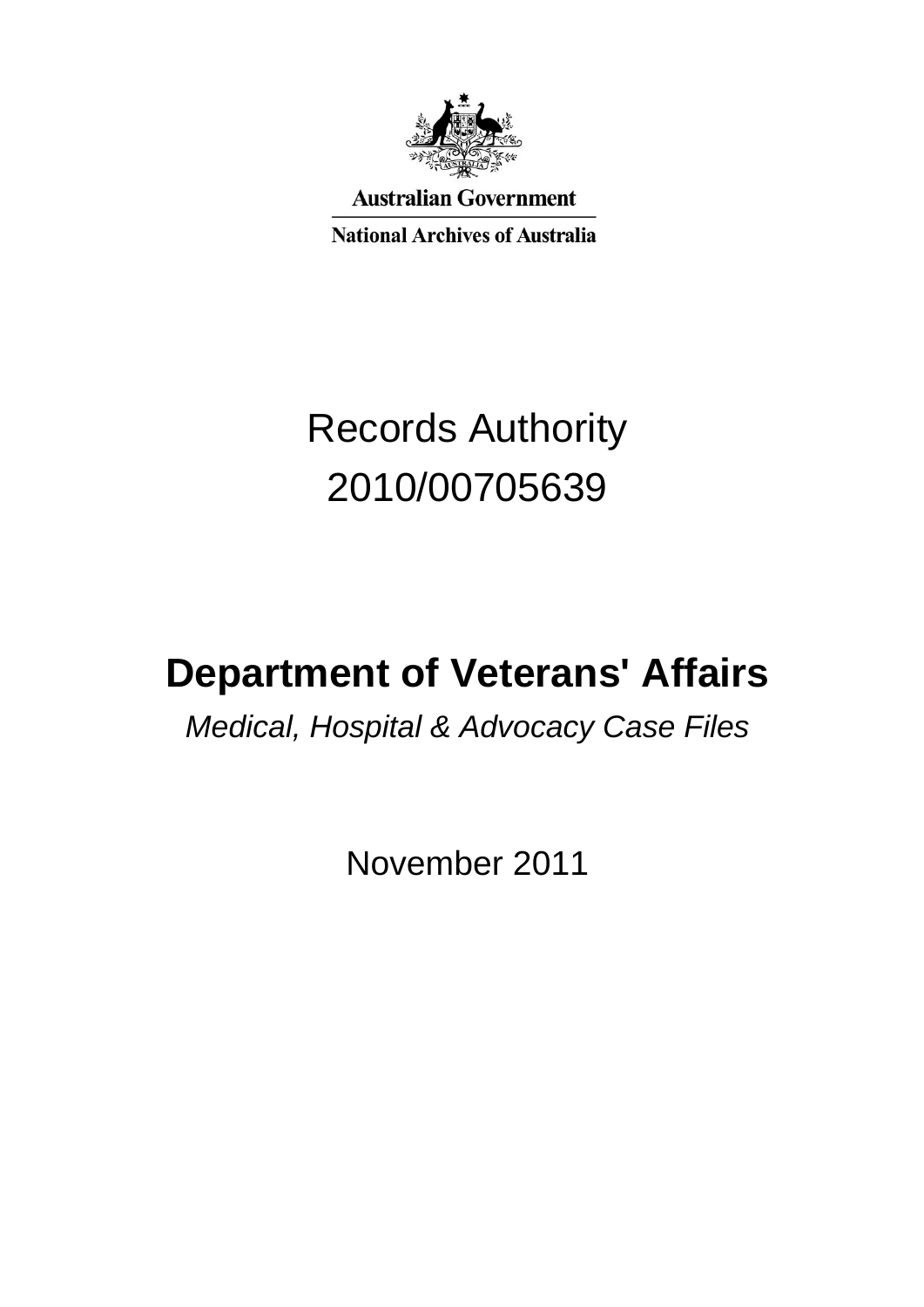

**Australian Government** 

**National Archives of Australia** 

# Records Authority 2010/00705639

# **Department of Veterans' Affairs**

# *Medical, Hospital & Advocacy Case Files*

November 2011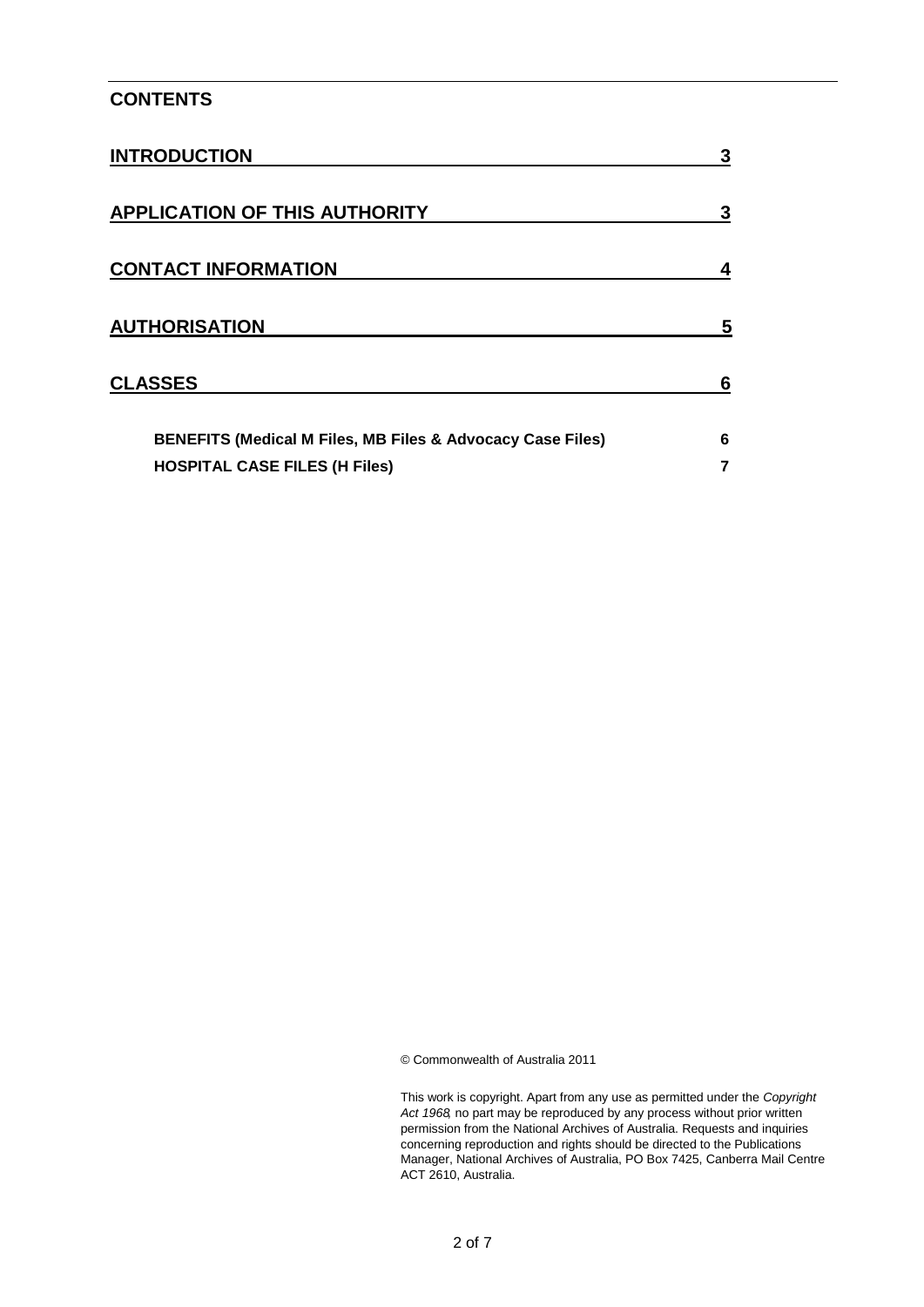#### **CONTENTS**

| <b>INTRODUCTION</b>                                                   | 3 |
|-----------------------------------------------------------------------|---|
| <b>APPLICATION OF THIS AUTHORITY</b>                                  | 3 |
| <b>CONTACT INFORMATION</b>                                            |   |
| <b>AUTHORISATION</b>                                                  | 5 |
| <b>CLASSES</b>                                                        | 6 |
| <b>BENEFITS (Medical M Files, MB Files &amp; Advocacy Case Files)</b> | 6 |
| <b>HOSPITAL CASE FILES (H Files)</b>                                  |   |

© Commonwealth of Australia 2011

This work is copyright. Apart from any use as permitted under the *Copyright Act 1968,* no part may be reproduced by any process without prior written permission from the National Archives of Australia. Requests and inquiries concerning reproduction and rights should be directed to the Publications Manager, National Archives of Australia, PO Box 7425, Canberra Mail Centre ACT 2610, Australia.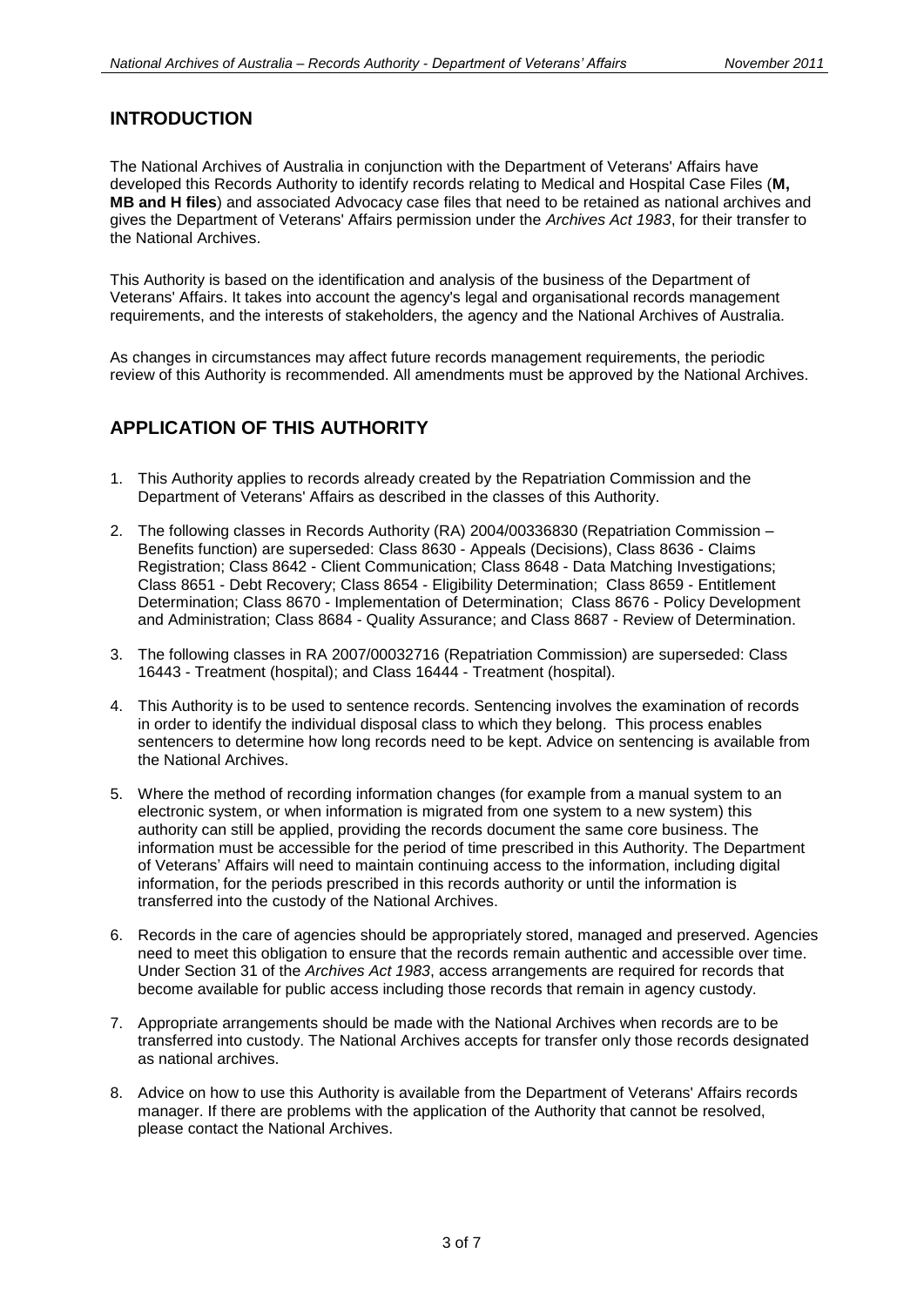#### **INTRODUCTION**

The National Archives of Australia in conjunction with the Department of Veterans' Affairs have developed this Records Authority to identify records relating to Medical and Hospital Case Files (**M, MB and H files**) and associated Advocacy case files that need to be retained as national archives and gives the Department of Veterans' Affairs permission under the *Archives Act 1983*, for their transfer to the National Archives.

This Authority is based on the identification and analysis of the business of the Department of Veterans' Affairs. It takes into account the agency's legal and organisational records management requirements, and the interests of stakeholders, the agency and the National Archives of Australia.

As changes in circumstances may affect future records management requirements, the periodic review of this Authority is recommended. All amendments must be approved by the National Archives.

### **APPLICATION OF THIS AUTHORITY**

- 1. This Authority applies to records already created by the Repatriation Commission and the Department of Veterans' Affairs as described in the classes of this Authority.
- 2. The following classes in Records Authority (RA) 2004/00336830 (Repatriation Commission Benefits function) are superseded: Class 8630 - Appeals (Decisions), Class 8636 - Claims Registration; Class 8642 - Client Communication; Class 8648 - Data Matching Investigations; Class 8651 - Debt Recovery; Class 8654 - Eligibility Determination; Class 8659 - Entitlement Determination; Class 8670 - Implementation of Determination; Class 8676 - Policy Development and Administration; Class 8684 - Quality Assurance; and Class 8687 - Review of Determination.
- 3. The following classes in RA 2007/00032716 (Repatriation Commission) are superseded: Class 16443 - Treatment (hospital); and Class 16444 - Treatment (hospital).
- 4. This Authority is to be used to sentence records. Sentencing involves the examination of records in order to identify the individual disposal class to which they belong. This process enables sentencers to determine how long records need to be kept. Advice on sentencing is available from the National Archives.
- 5. Where the method of recording information changes (for example from a manual system to an electronic system, or when information is migrated from one system to a new system) this authority can still be applied, providing the records document the same core business. The information must be accessible for the period of time prescribed in this Authority. The Department of Veterans' Affairs will need to maintain continuing access to the information, including digital information, for the periods prescribed in this records authority or until the information is transferred into the custody of the National Archives.
- 6. Records in the care of agencies should be appropriately stored, managed and preserved. Agencies need to meet this obligation to ensure that the records remain authentic and accessible over time. Under Section 31 of the *Archives Act 1983*, access arrangements are required for records that become available for public access including those records that remain in agency custody.
- 7. Appropriate arrangements should be made with the National Archives when records are to be transferred into custody. The National Archives accepts for transfer only those records designated as national archives.
- 8. Advice on how to use this Authority is available from the Department of Veterans' Affairs records manager. If there are problems with the application of the Authority that cannot be resolved, please contact the National Archives.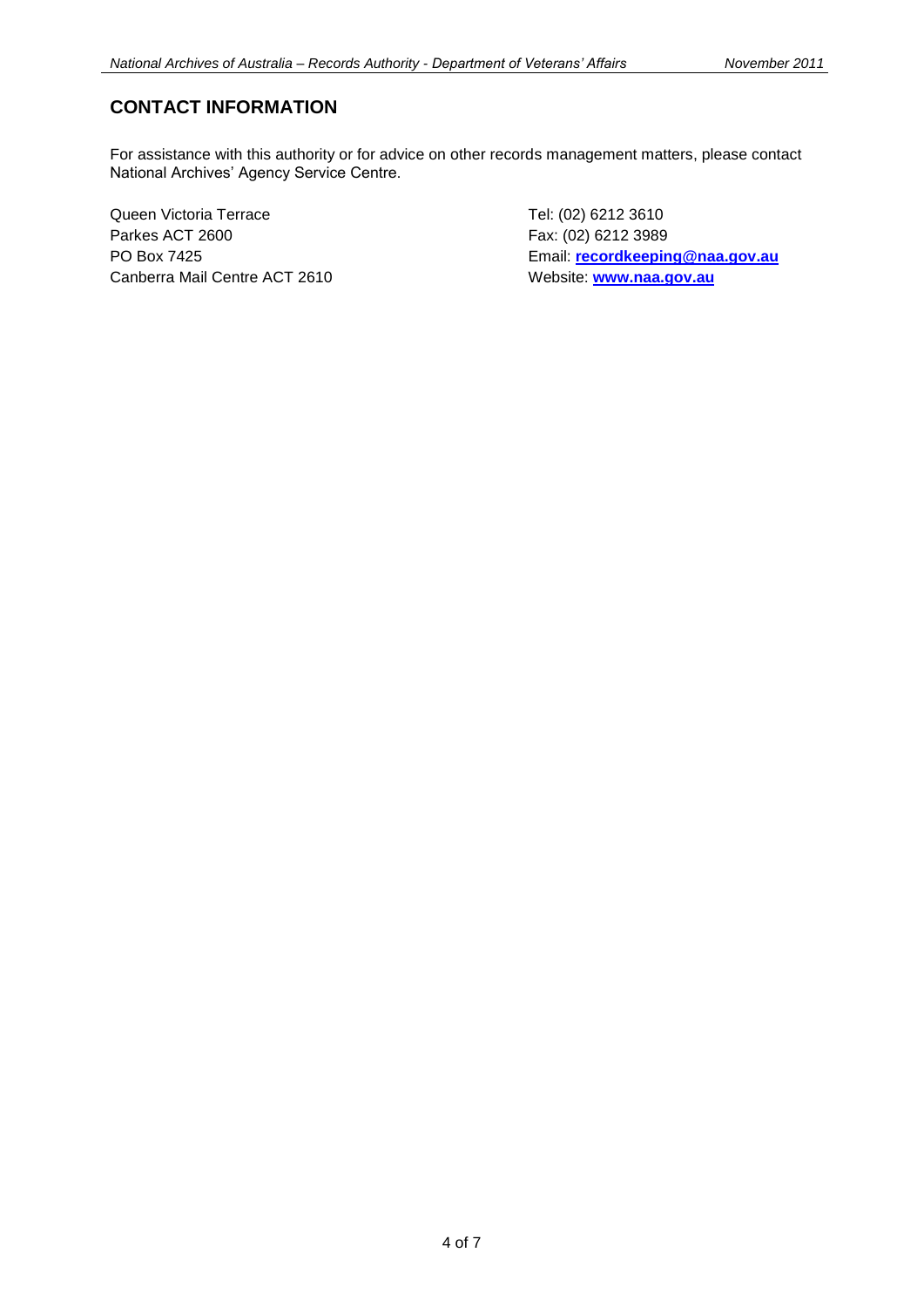#### **CONTACT INFORMATION**

For assistance with this authority or for advice on other records management matters, please contact National Archives' Agency Service Centre.

Queen Victoria Terrace Tel: (02) 6212 3610 Parkes ACT 2600 Fax: (02) 6212 3989 Canberra Mail Centre ACT 2610 Website: [www.naa.gov.au](http://www.naa.gov.au/)

PO Box 7425 Email: **[recordkeeping@naa.gov.au](mailto:recordkeeping@naa.gov.au)**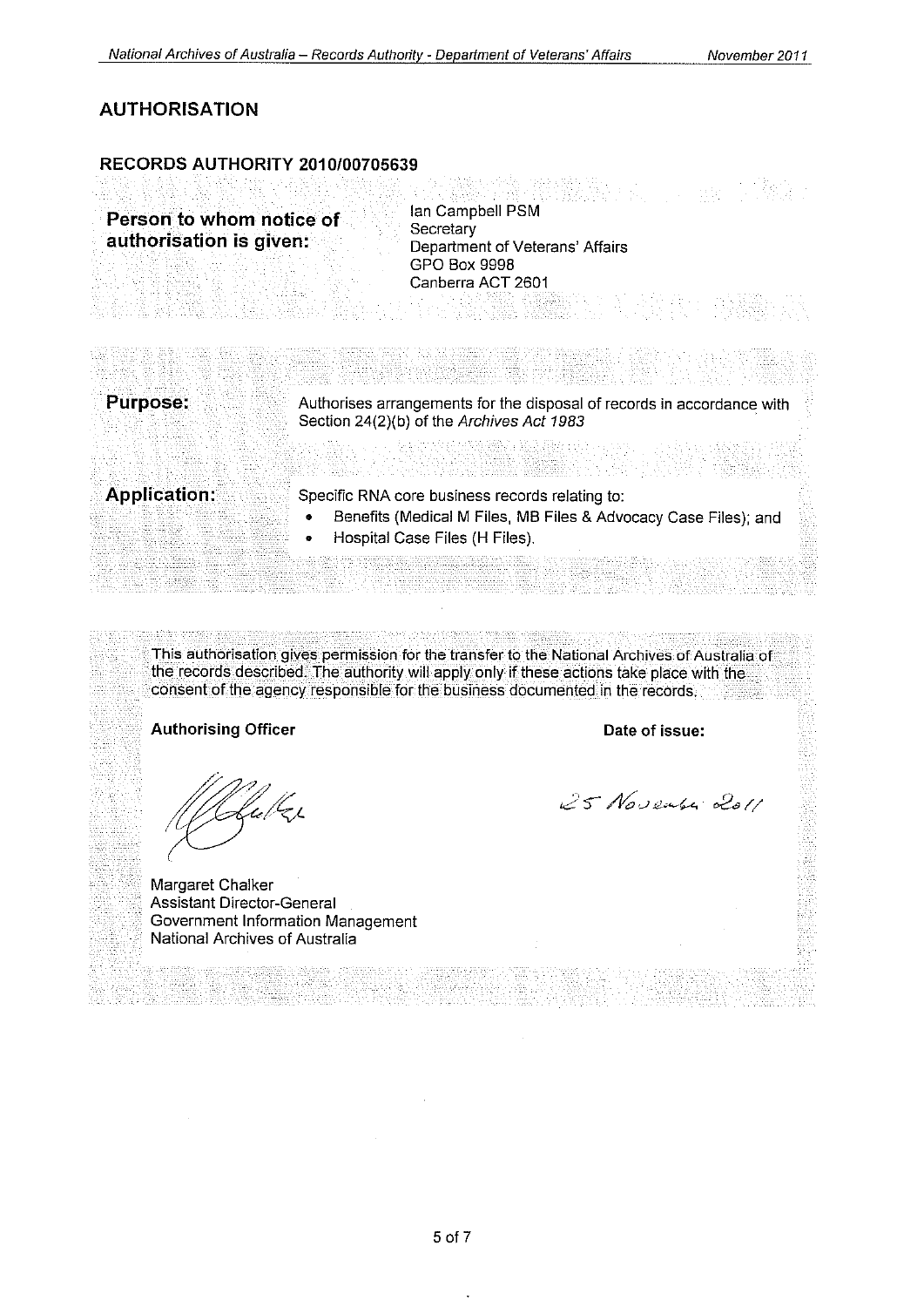### **AUTHORISATION**

#### RECORDS AUTHORITY 2010/00705639

Ian Campbell PSM Person to whom notice of Secretary authorisation is given: Department of Veterans' Affairs GPO Box 9998 Canberra ACT 2601 t de la sensa de **Purpose:** Authorises arrangements for the disposal of records in accordance with Section 24(2)(b) of the Archives Act 1983

**Application:** 

Specific RNA core business records relating to:

- Benefits (Medical M Files, MB Files & Advocacy Case Files); and
- Hospital Case Files (H Files).

This authorisation gives permission for the transfer to the National Archives of Australia of the records described. The authority will apply only if these actions take place with the consent of the agency responsible for the business documented in the records.

#### **Authorising Officer**

fulks

Margaret Chalker **Assistant Director-General** Government Information Management National Archives of Australia

Date of issue:

25 November 2011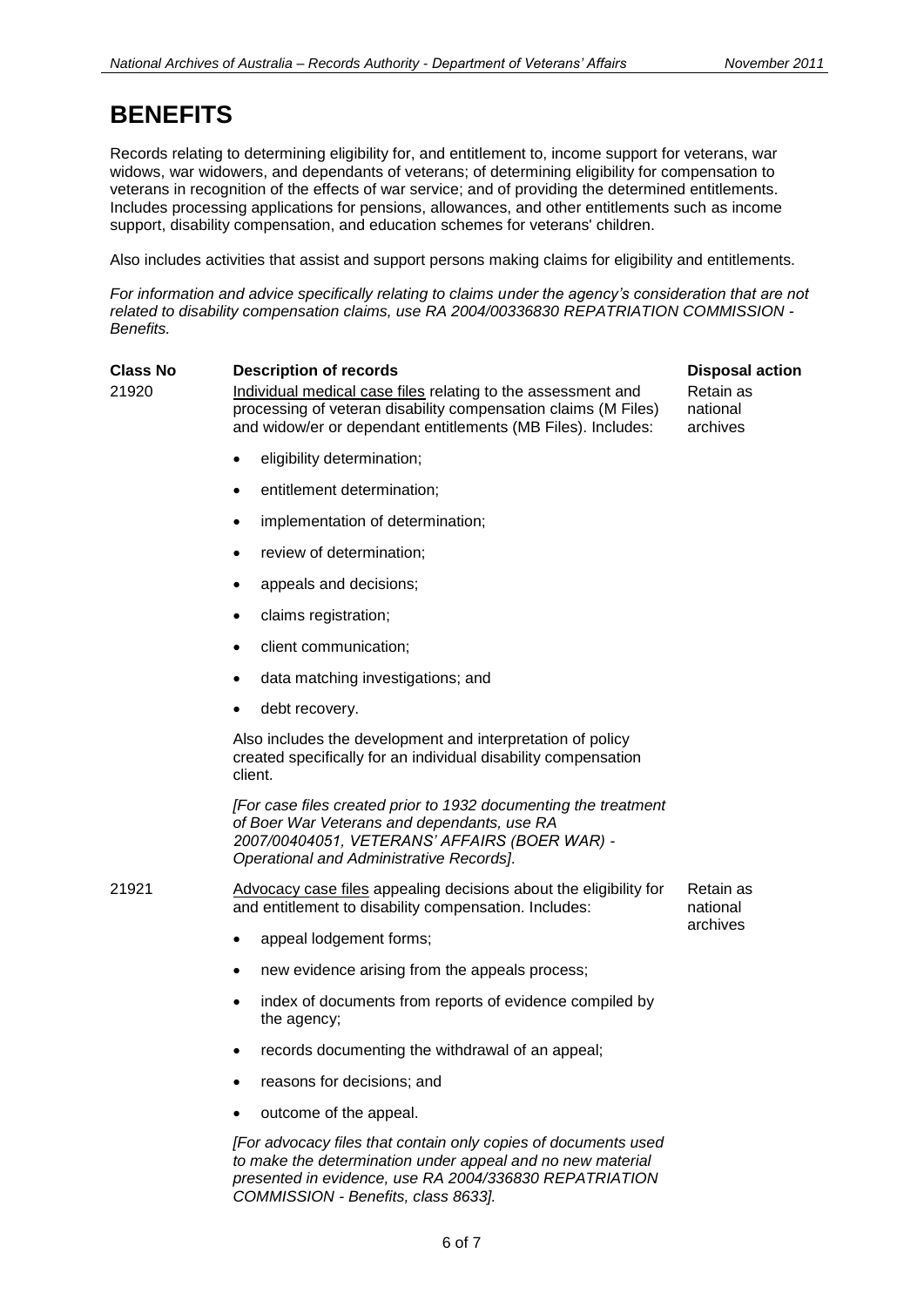## **BENEFITS**

Records relating to determining eligibility for, and entitlement to, income support for veterans, war widows, war widowers, and dependants of veterans; of determining eligibility for compensation to veterans in recognition of the effects of war service; and of providing the determined entitlements. Includes processing applications for pensions, allowances, and other entitlements such as income support, disability compensation, and education schemes for veterans' children.

Also includes activities that assist and support persons making claims for eligibility and entitlements.

*For information and advice specifically relating to claims under the agency's consideration that are not related to disability compensation claims, use RA 2004/00336830 REPATRIATION COMMISSION - Benefits.*

| <b>Class No</b> | <b>Description of records</b>                                                                                                                                                                                                 | <b>Disposal action</b>            |
|-----------------|-------------------------------------------------------------------------------------------------------------------------------------------------------------------------------------------------------------------------------|-----------------------------------|
| 21920           | Individual medical case files relating to the assessment and<br>processing of veteran disability compensation claims (M Files)<br>and widow/er or dependant entitlements (MB Files). Includes:                                | Retain as<br>national<br>archives |
|                 | eligibility determination;                                                                                                                                                                                                    |                                   |
|                 | entitlement determination;<br>$\bullet$                                                                                                                                                                                       |                                   |
|                 | implementation of determination;<br>$\bullet$                                                                                                                                                                                 |                                   |
|                 | review of determination;<br>$\bullet$                                                                                                                                                                                         |                                   |
|                 | appeals and decisions;                                                                                                                                                                                                        |                                   |
|                 | claims registration;<br>$\bullet$                                                                                                                                                                                             |                                   |
|                 | client communication;                                                                                                                                                                                                         |                                   |
|                 | data matching investigations; and<br>$\bullet$                                                                                                                                                                                |                                   |
|                 | debt recovery.                                                                                                                                                                                                                |                                   |
|                 | Also includes the development and interpretation of policy<br>created specifically for an individual disability compensation<br>client.                                                                                       |                                   |
|                 | [For case files created prior to 1932 documenting the treatment<br>of Boer War Veterans and dependants, use RA<br>2007/00404051, VETERANS' AFFAIRS (BOER WAR) -<br>Operational and Administrative Records].                   |                                   |
| 21921           | Advocacy case files appealing decisions about the eligibility for<br>and entitlement to disability compensation. Includes:                                                                                                    | Retain as<br>national<br>archives |
|                 | appeal lodgement forms;<br>$\bullet$                                                                                                                                                                                          |                                   |
|                 | new evidence arising from the appeals process;<br>$\bullet$                                                                                                                                                                   |                                   |
|                 | index of documents from reports of evidence compiled by<br>$\bullet$<br>the agency;                                                                                                                                           |                                   |
|                 | records documenting the withdrawal of an appeal;<br>٠                                                                                                                                                                         |                                   |
|                 | reasons for decisions; and                                                                                                                                                                                                    |                                   |
|                 | outcome of the appeal.                                                                                                                                                                                                        |                                   |
|                 | [For advocacy files that contain only copies of documents used<br>to make the determination under appeal and no new material<br>presented in evidence, use RA 2004/336830 REPATRIATION<br>COMMISSION - Benefits, class 8633]. |                                   |